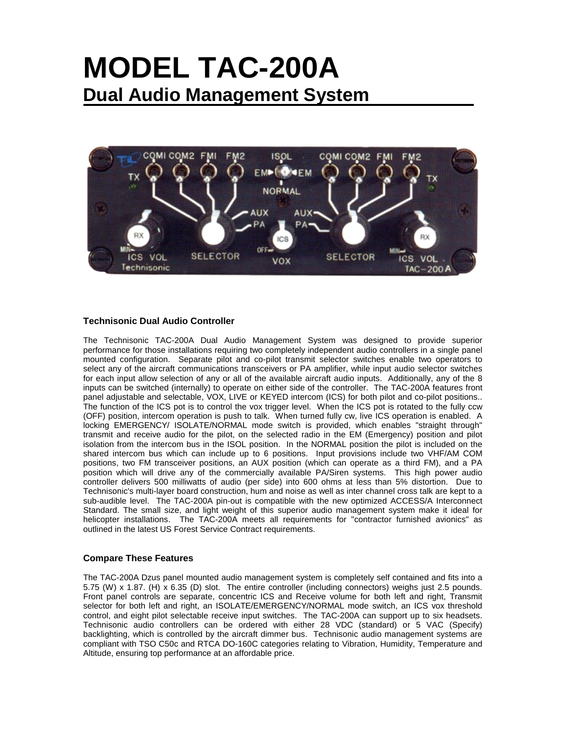# **MODEL TAC-200A Dual Audio Management System**



### **Technisonic Dual Audio Controller**

The Technisonic TAC-200A Dual Audio Management System was designed to provide superior performance for those installations requiring two completely independent audio controllers in a single panel mounted configuration. Separate pilot and co-pilot transmit selector switches enable two operators to select any of the aircraft communications transceivers or PA amplifier, while input audio selector switches for each input allow selection of any or all of the available aircraft audio inputs. Additionally, any of the 8 inputs can be switched (internally) to operate on either side of the controller. The TAC-200A features front panel adjustable and selectable, VOX, LIVE or KEYED intercom (ICS) for both pilot and co-pilot positions.. The function of the ICS pot is to control the vox trigger level. When the ICS pot is rotated to the fully ccw (OFF) position, intercom operation is push to talk. When turned fully cw, live ICS operation is enabled. A locking EMERGENCY/ ISOLATE/NORMAL mode switch is provided, which enables "straight through" transmit and receive audio for the pilot, on the selected radio in the EM (Emergency) position and pilot isolation from the intercom bus in the ISOL position. In the NORMAL position the pilot is included on the shared intercom bus which can include up to 6 positions. Input provisions include two VHF/AM COM positions, two FM transceiver positions, an AUX position (which can operate as a third FM), and a PA position which will drive any of the commercially available PA/Siren systems. This high power audio controller delivers 500 milliwatts of audio (per side) into 600 ohms at less than 5% distortion. Due to Technisonic's multi-layer board construction, hum and noise as well as inter channel cross talk are kept to a sub-audible level. The TAC-200A pin-out is compatible with the new optimized ACCESS/A Interconnect Standard. The small size, and light weight of this superior audio management system make it ideal for helicopter installations. The TAC-200A meets all requirements for "contractor furnished avionics" as outlined in the latest US Forest Service Contract requirements.

#### **Compare These Features**

The TAC-200A Dzus panel mounted audio management system is completely self contained and fits into a 5.75 (W) x 1.87. (H) x 6.35 (D) slot. The entire controller (including connectors) weighs just 2.5 pounds. Front panel controls are separate, concentric ICS and Receive volume for both left and right, Transmit selector for both left and right, an ISOLATE/EMERGENCY/NORMAL mode switch, an ICS vox threshold control, and eight pilot selectable receive input switches. The TAC-200A can support up to six headsets. Technisonic audio controllers can be ordered with either 28 VDC (standard) or 5 VAC (Specify) backlighting, which is controlled by the aircraft dimmer bus. Technisonic audio management systems are compliant with TSO C50c and RTCA DO-160C categories relating to Vibration, Humidity, Temperature and Altitude, ensuring top performance at an affordable price.